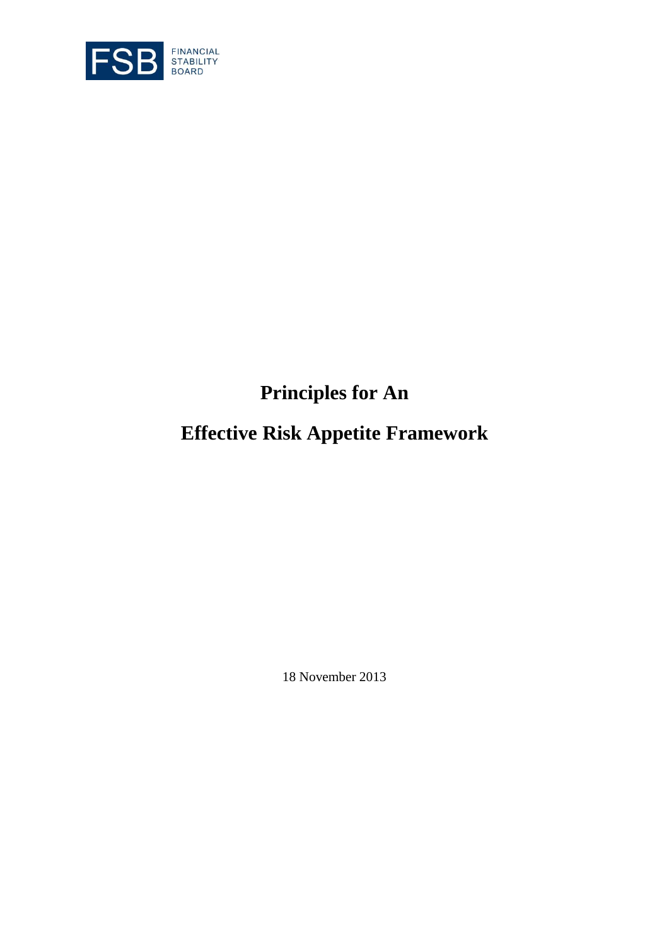

# **Principles for An**

# **Effective Risk Appetite Framework**

18 November 2013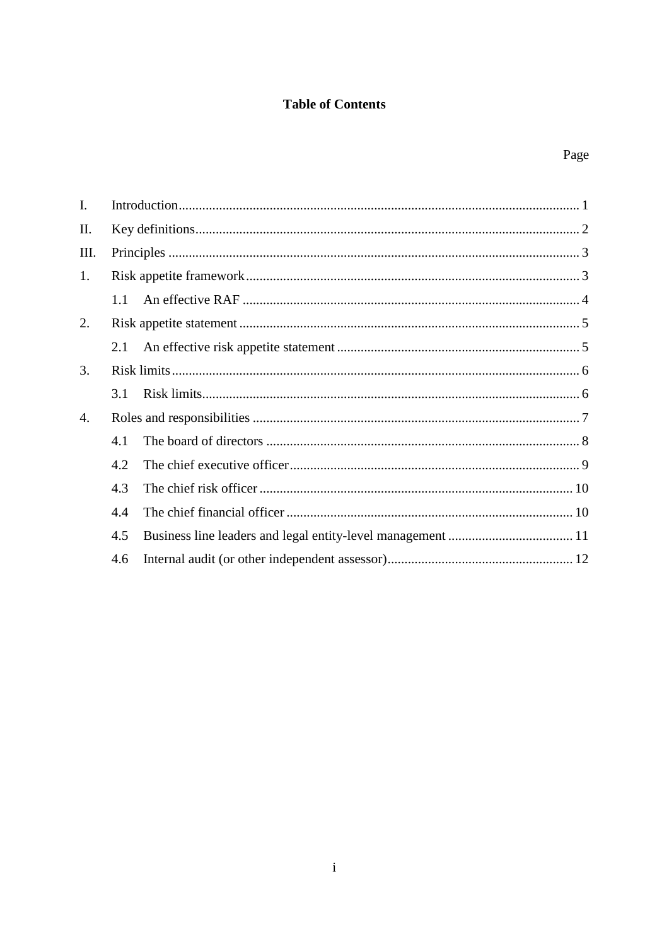## **Table of Contents**

| I. |     |  |  |
|----|-----|--|--|
| Π. |     |  |  |
| Ш. |     |  |  |
| 1. |     |  |  |
|    | 1.1 |  |  |
| 2. |     |  |  |
|    | 2.1 |  |  |
| 3. |     |  |  |
|    | 3.1 |  |  |
| 4. |     |  |  |
|    | 4.1 |  |  |
|    | 4.2 |  |  |
|    | 4.3 |  |  |
|    | 4.4 |  |  |
|    | 4.5 |  |  |
|    | 4.6 |  |  |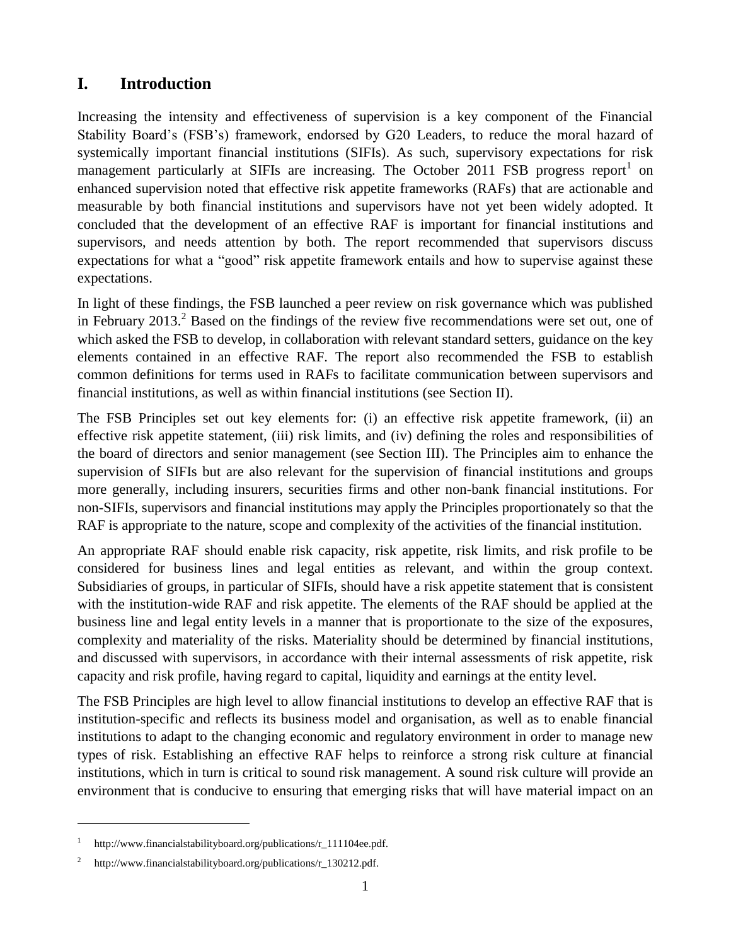# **I. Introduction**

<span id="page-3-0"></span>Increasing the intensity and effectiveness of supervision is a key component of the Financial Stability Board's (FSB's) framework, endorsed by G20 Leaders, to reduce the moral hazard of systemically important financial institutions (SIFIs). As such, supervisory expectations for risk management particularly at SIFIs are increasing. The October 2011 FSB progress report<sup>1</sup> on enhanced supervision noted that effective risk appetite frameworks (RAFs) that are actionable and measurable by both financial institutions and supervisors have not yet been widely adopted. It concluded that the development of an effective RAF is important for financial institutions and supervisors, and needs attention by both. The report recommended that supervisors discuss expectations for what a "good" risk appetite framework entails and how to supervise against these expectations.

In light of these findings, the FSB launched a peer review on risk governance which was published in February 2013.<sup>2</sup> Based on the findings of the review five recommendations were set out, one of which asked the FSB to develop, in collaboration with relevant standard setters, guidance on the key elements contained in an effective RAF. The report also recommended the FSB to establish common definitions for terms used in RAFs to facilitate communication between supervisors and financial institutions, as well as within financial institutions (see Section II).

The FSB Principles set out key elements for: (i) an effective risk appetite framework, (ii) an effective risk appetite statement, (iii) risk limits, and (iv) defining the roles and responsibilities of the board of directors and senior management (see Section III). The Principles aim to enhance the supervision of SIFIs but are also relevant for the supervision of financial institutions and groups more generally, including insurers, securities firms and other non-bank financial institutions. For non-SIFIs, supervisors and financial institutions may apply the Principles proportionately so that the RAF is appropriate to the nature, scope and complexity of the activities of the financial institution.

An appropriate RAF should enable risk capacity, risk appetite, risk limits, and risk profile to be considered for business lines and legal entities as relevant, and within the group context. Subsidiaries of groups, in particular of SIFIs, should have a risk appetite statement that is consistent with the institution-wide RAF and risk appetite. The elements of the RAF should be applied at the business line and legal entity levels in a manner that is proportionate to the size of the exposures, complexity and materiality of the risks. Materiality should be determined by financial institutions, and discussed with supervisors, in accordance with their internal assessments of risk appetite, risk capacity and risk profile, having regard to capital, liquidity and earnings at the entity level.

The FSB Principles are high level to allow financial institutions to develop an effective RAF that is institution-specific and reflects its business model and organisation, as well as to enable financial institutions to adapt to the changing economic and regulatory environment in order to manage new types of risk. Establishing an effective RAF helps to reinforce a strong risk culture at financial institutions, which in turn is critical to sound risk management. A sound risk culture will provide an environment that is conducive to ensuring that emerging risks that will have material impact on an

<sup>1</sup> [http://www.financialstabilityboard.org/publications/r\\_111104ee.pdf.](http://www.financialstabilityboard.org/publications/r_111104ee.pdf)

<sup>2</sup> [http://www.financialstabilityboard.org/publications/r\\_130212.pdf.](http://www.financialstabilityboard.org/publications/r_130212.pdf)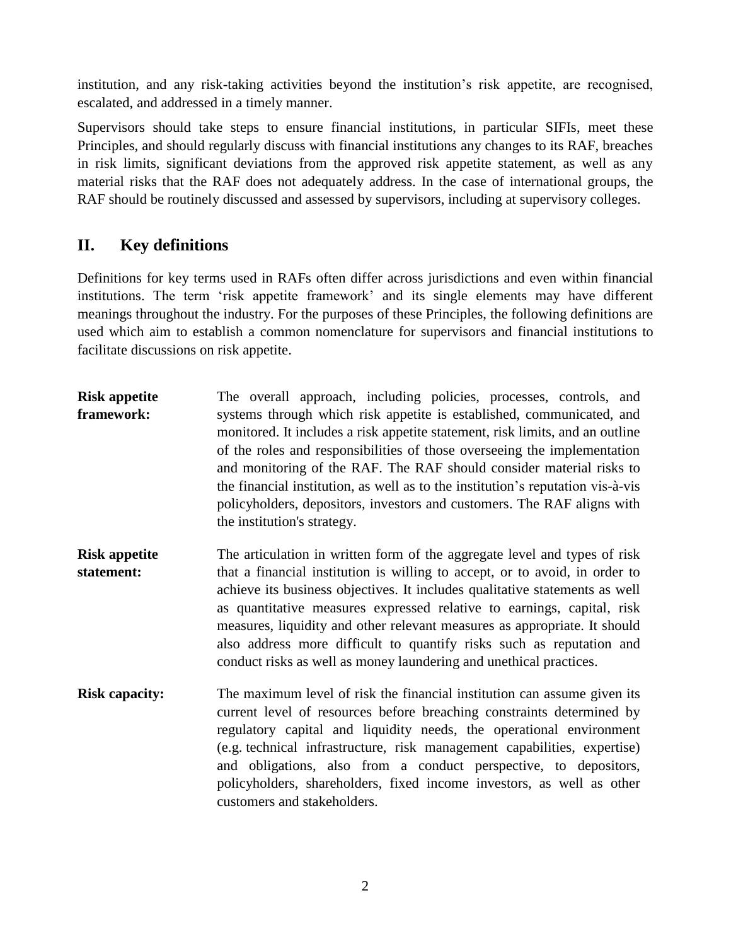institution, and any risk-taking activities beyond the institution's risk appetite, are recognised, escalated, and addressed in a timely manner.

Supervisors should take steps to ensure financial institutions, in particular SIFIs, meet these Principles, and should regularly discuss with financial institutions any changes to its RAF, breaches in risk limits, significant deviations from the approved risk appetite statement, as well as any material risks that the RAF does not adequately address. In the case of international groups, the RAF should be routinely discussed and assessed by supervisors, including at supervisory colleges.

# **II. Key definitions**

<span id="page-4-0"></span>Definitions for key terms used in RAFs often differ across jurisdictions and even within financial institutions. The term 'risk appetite framework' and its single elements may have different meanings throughout the industry. For the purposes of these Principles, the following definitions are used which aim to establish a common nomenclature for supervisors and financial institutions to facilitate discussions on risk appetite.

- **Risk appetite framework:** The overall approach, including policies, processes, controls, and systems through which risk appetite is established, communicated, and monitored. It includes a risk appetite statement, risk limits, and an outline of the roles and responsibilities of those overseeing the implementation and monitoring of the RAF. The RAF should consider material risks to the financial institution, as well as to the institution's reputation vis-à-vis policyholders, depositors, investors and customers. The RAF aligns with the institution's strategy.
- **Risk appetite statement:** The articulation in written form of the aggregate level and types of risk that a financial institution is willing to accept, or to avoid, in order to achieve its business objectives. It includes qualitative statements as well as quantitative measures expressed relative to earnings, capital, risk measures, liquidity and other relevant measures as appropriate. It should also address more difficult to quantify risks such as reputation and conduct risks as well as money laundering and unethical practices.
- **Risk capacity:** The maximum level of risk the financial institution can assume given its current level of resources before breaching constraints determined by regulatory capital and liquidity needs, the operational environment (e.g. technical infrastructure, risk management capabilities, expertise) and obligations, also from a conduct perspective, to depositors, policyholders, shareholders, fixed income investors, as well as other customers and stakeholders.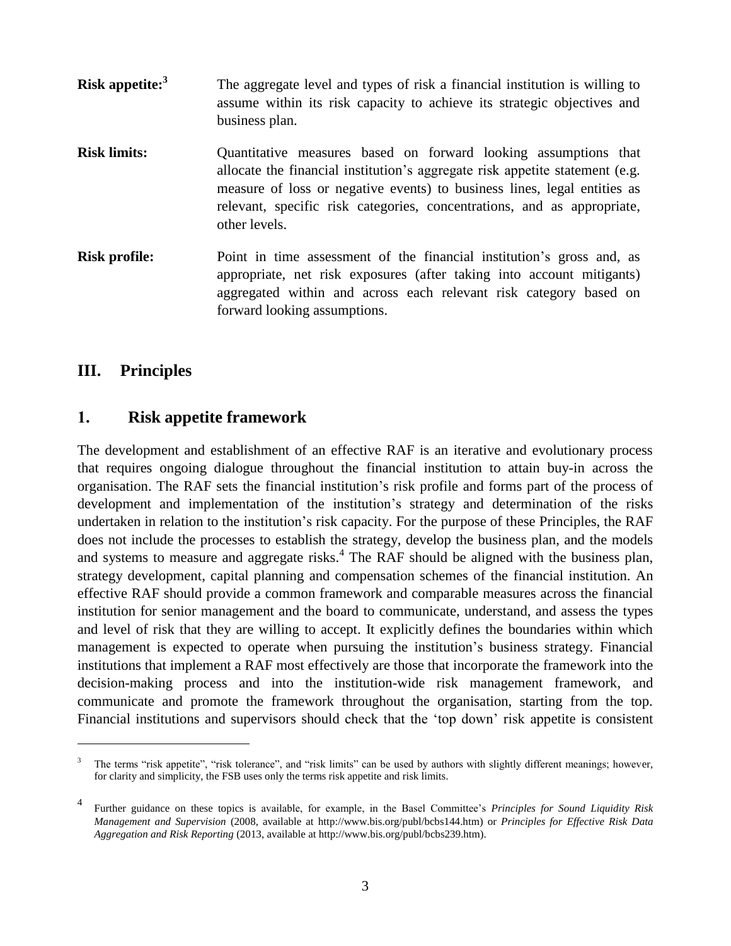- **Risk appetite:<sup>3</sup>** The aggregate level and types of risk a financial institution is willing to assume within its risk capacity to achieve its strategic objectives and business plan.
- **Risk limits:** Quantitative measures based on forward looking assumptions that allocate the financial institution's aggregate risk appetite statement (e.g. measure of loss or negative events) to business lines, legal entities as relevant, specific risk categories, concentrations, and as appropriate, other levels.
- **Risk profile:** Point in time assessment of the financial institution's gross and, as appropriate, net risk exposures (after taking into account mitigants) aggregated within and across each relevant risk category based on forward looking assumptions.

## **III. Principles**

 $\overline{a}$ 

## <span id="page-5-0"></span>**1. Risk appetite framework**

<span id="page-5-1"></span>The development and establishment of an effective RAF is an iterative and evolutionary process that requires ongoing dialogue throughout the financial institution to attain buy-in across the organisation. The RAF sets the financial institution's risk profile and forms part of the process of development and implementation of the institution's strategy and determination of the risks undertaken in relation to the institution's risk capacity. For the purpose of these Principles, the RAF does not include the processes to establish the strategy, develop the business plan, and the models and systems to measure and aggregate risks.<sup>4</sup> The RAF should be aligned with the business plan, strategy development, capital planning and compensation schemes of the financial institution. An effective RAF should provide a common framework and comparable measures across the financial institution for senior management and the board to communicate, understand, and assess the types and level of risk that they are willing to accept. It explicitly defines the boundaries within which management is expected to operate when pursuing the institution's business strategy. Financial institutions that implement a RAF most effectively are those that incorporate the framework into the decision-making process and into the institution-wide risk management framework, and communicate and promote the framework throughout the organisation, starting from the top. Financial institutions and supervisors should check that the 'top down' risk appetite is consistent

<sup>3</sup> The terms "risk appetite", "risk tolerance", and "risk limits" can be used by authors with slightly different meanings; however, for clarity and simplicity, the FSB uses only the terms risk appetite and risk limits.

<sup>4</sup> Further guidance on these topics is available, for example, in the Basel Committee's *Principles for Sound Liquidity Risk Management and Supervision* (2008, available at [http://www.bis.org/publ/bcbs144.htm\)](http://www.bis.org/publ/bcbs144.htm) or *Principles for Effective Risk Data Aggregation and Risk Reporting* (2013, available at [http://www.bis.org/publ/bcbs239.htm\)](http://www.bis.org/publ/bcbs239.htm).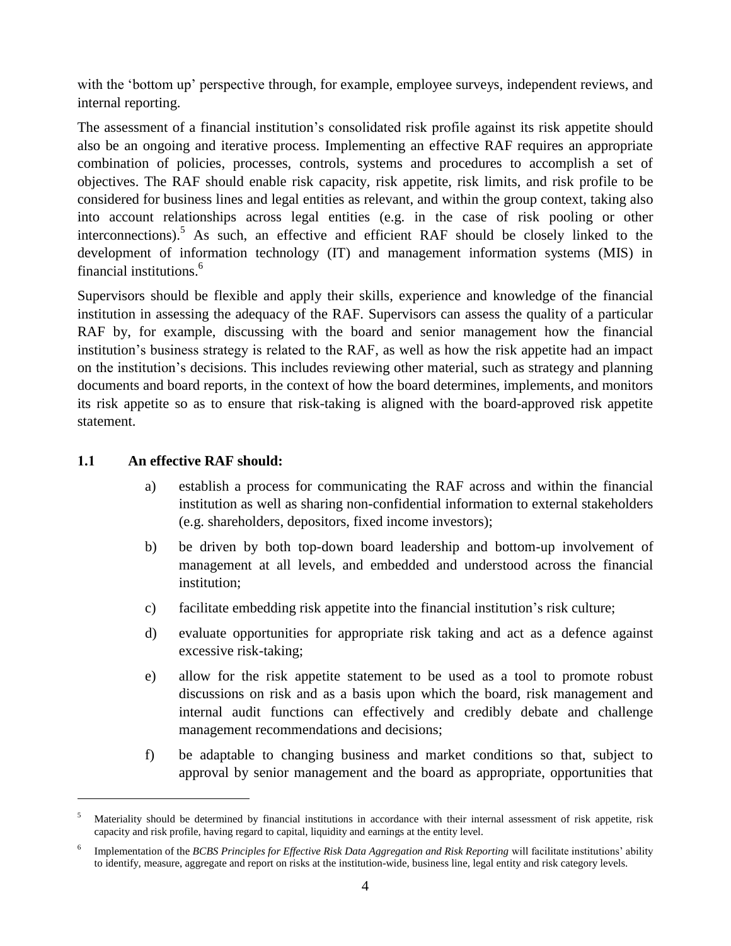with the 'bottom up' perspective through, for example, employee surveys, independent reviews, and internal reporting.

The assessment of a financial institution's consolidated risk profile against its risk appetite should also be an ongoing and iterative process. Implementing an effective RAF requires an appropriate combination of policies, processes, controls, systems and procedures to accomplish a set of objectives. The RAF should enable risk capacity, risk appetite, risk limits, and risk profile to be considered for business lines and legal entities as relevant, and within the group context, taking also into account relationships across legal entities (e.g. in the case of risk pooling or other interconnections). <sup>5</sup> As such, an effective and efficient RAF should be closely linked to the development of information technology (IT) and management information systems (MIS) in financial institutions.<sup>6</sup>

Supervisors should be flexible and apply their skills, experience and knowledge of the financial institution in assessing the adequacy of the RAF. Supervisors can assess the quality of a particular RAF by, for example, discussing with the board and senior management how the financial institution's business strategy is related to the RAF, as well as how the risk appetite had an impact on the institution's decisions. This includes reviewing other material, such as strategy and planning documents and board reports, in the context of how the board determines, implements, and monitors its risk appetite so as to ensure that risk-taking is aligned with the board-approved risk appetite statement.

### <span id="page-6-0"></span>**1.1 An effective RAF should:**

- a) establish a process for communicating the RAF across and within the financial institution as well as sharing non-confidential information to external stakeholders (e.g. shareholders, depositors, fixed income investors);
- b) be driven by both top-down board leadership and bottom-up involvement of management at all levels, and embedded and understood across the financial institution;
- c) facilitate embedding risk appetite into the financial institution's risk culture;
- d) evaluate opportunities for appropriate risk taking and act as a defence against excessive risk-taking;
- e) allow for the risk appetite statement to be used as a tool to promote robust discussions on risk and as a basis upon which the board, risk management and internal audit functions can effectively and credibly debate and challenge management recommendations and decisions;
- f) be adaptable to changing business and market conditions so that, subject to approval by senior management and the board as appropriate, opportunities that

<sup>&</sup>lt;sup>5</sup> Materiality should be determined by financial institutions in accordance with their internal assessment of risk appetite, risk capacity and risk profile, having regard to capital, liquidity and earnings at the entity level.

<sup>6</sup> Implementation of the *[BCBS Principles for Effective Risk Data Aggregation and Risk Reporting](http://www.bis.org/publ/bcbs239.pdf)* will facilitate institutions' ability to identify, measure, aggregate and report on risks at the institution-wide, business line, legal entity and risk category levels.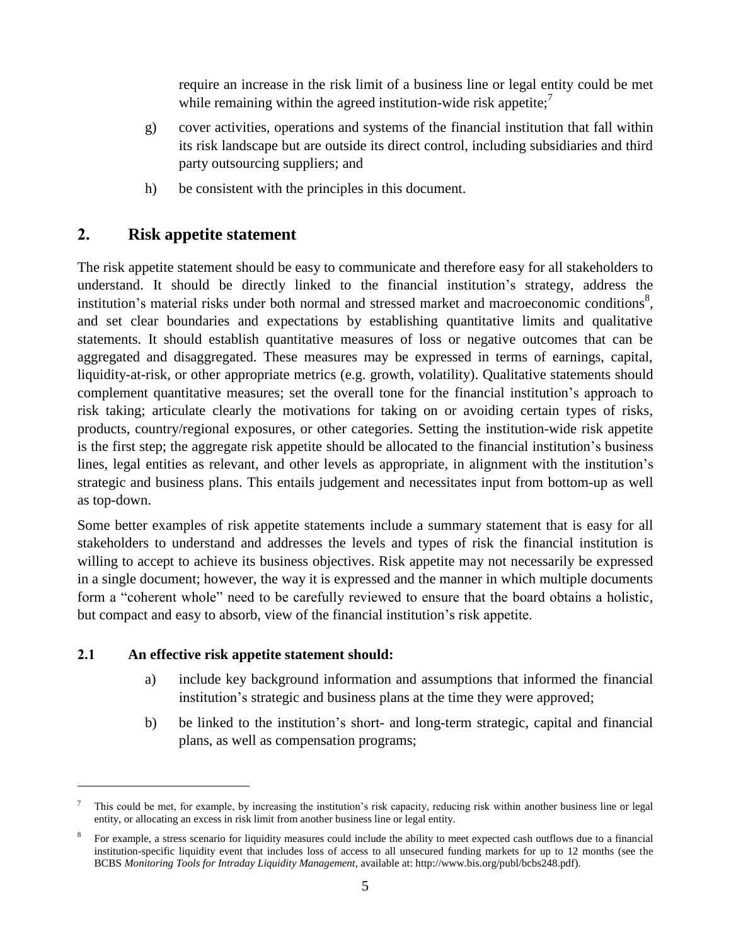require an increase in the risk limit of a business line or legal entity could be met while remaining within the agreed institution-wide risk appetite;<sup>7</sup>

- g) cover activities, operations and systems of the financial institution that fall within its risk landscape but are outside its direct control, including subsidiaries and third party outsourcing suppliers; and
- h) be consistent with the principles in this document.

# **2. Risk appetite statement**

<span id="page-7-0"></span>The risk appetite statement should be easy to communicate and therefore easy for all stakeholders to understand. It should be directly linked to the financial institution's strategy, address the institution's material risks under both normal and stressed market and macroeconomic conditions<sup>8</sup>, and set clear boundaries and expectations by establishing quantitative limits and qualitative statements. It should establish quantitative measures of loss or negative outcomes that can be aggregated and disaggregated. These measures may be expressed in terms of earnings, capital, liquidity-at-risk, or other appropriate metrics (e.g. growth, volatility). Qualitative statements should complement quantitative measures; set the overall tone for the financial institution's approach to risk taking; articulate clearly the motivations for taking on or avoiding certain types of risks, products, country/regional exposures, or other categories. Setting the institution-wide risk appetite is the first step; the aggregate risk appetite should be allocated to the financial institution's business lines, legal entities as relevant, and other levels as appropriate, in alignment with the institution's strategic and business plans. This entails judgement and necessitates input from bottom-up as well as top-down.

Some better examples of risk appetite statements include a summary statement that is easy for all stakeholders to understand and addresses the levels and types of risk the financial institution is willing to accept to achieve its business objectives. Risk appetite may not necessarily be expressed in a single document; however, the way it is expressed and the manner in which multiple documents form a "coherent whole" need to be carefully reviewed to ensure that the board obtains a holistic, but compact and easy to absorb, view of the financial institution's risk appetite.

## <span id="page-7-1"></span>**2.1 An effective risk appetite statement should:**

- a) include key background information and assumptions that informed the financial institution's strategic and business plans at the time they were approved;
- b) be linked to the institution's short- and long-term strategic, capital and financial plans, as well as compensation programs;

<sup>7</sup> This could be met, for example, by increasing the institution's risk capacity, reducing risk within another business line or legal entity, or allocating an excess in risk limit from another business line or legal entity.

<sup>8</sup> For example, a stress scenario for liquidity measures could include the ability to meet expected cash outflows due to a financial institution-specific liquidity event that includes loss of access to all unsecured funding markets for up to 12 months (see the BCBS *Monitoring Tools for Intraday Liquidity Management*, available at: [http://www.bis.org/publ/bcbs248.pdf\)](http://www.bis.org/publ/bcbs248.pdf).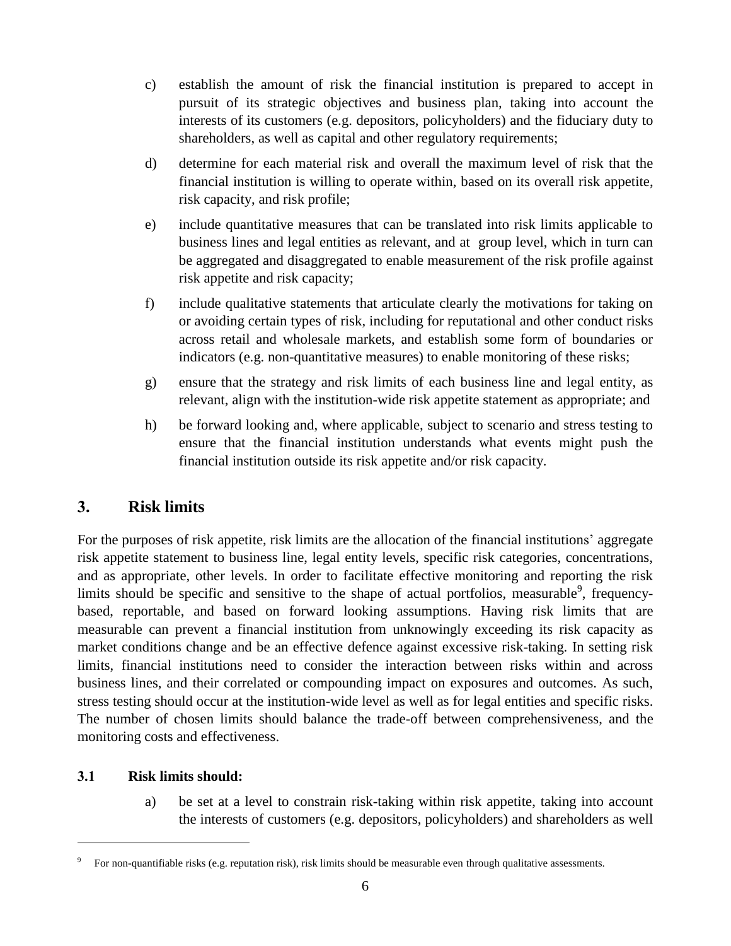- c) establish the amount of risk the financial institution is prepared to accept in pursuit of its strategic objectives and business plan, taking into account the interests of its customers (e.g. depositors, policyholders) and the fiduciary duty to shareholders, as well as capital and other regulatory requirements;
- d) determine for each material risk and overall the maximum level of risk that the financial institution is willing to operate within, based on its overall risk appetite, risk capacity, and risk profile;
- e) include quantitative measures that can be translated into risk limits applicable to business lines and legal entities as relevant, and at group level, which in turn can be aggregated and disaggregated to enable measurement of the risk profile against risk appetite and risk capacity;
- f) include qualitative statements that articulate clearly the motivations for taking on or avoiding certain types of risk, including for reputational and other conduct risks across retail and wholesale markets, and establish some form of boundaries or indicators (e.g. non-quantitative measures) to enable monitoring of these risks;
- g) ensure that the strategy and risk limits of each business line and legal entity, as relevant, align with the institution-wide risk appetite statement as appropriate; and
- h) be forward looking and, where applicable, subject to scenario and stress testing to ensure that the financial institution understands what events might push the financial institution outside its risk appetite and/or risk capacity.

# **3. Risk limits**

<span id="page-8-0"></span>For the purposes of risk appetite, risk limits are the allocation of the financial institutions' aggregate risk appetite statement to business line, legal entity levels, specific risk categories, concentrations, and as appropriate, other levels. In order to facilitate effective monitoring and reporting the risk limits should be specific and sensitive to the shape of actual portfolios, measurable  $9^9$ , frequencybased, reportable, and based on forward looking assumptions. Having risk limits that are measurable can prevent a financial institution from unknowingly exceeding its risk capacity as market conditions change and be an effective defence against excessive risk-taking. In setting risk limits, financial institutions need to consider the interaction between risks within and across business lines, and their correlated or compounding impact on exposures and outcomes. As such, stress testing should occur at the institution-wide level as well as for legal entities and specific risks. The number of chosen limits should balance the trade-off between comprehensiveness, and the monitoring costs and effectiveness.

### **3.1 Risk limits should:**

<span id="page-8-1"></span> $\overline{a}$ 

a) be set at a level to constrain risk-taking within risk appetite, taking into account the interests of customers (e.g. depositors, policyholders) and shareholders as well

<sup>9</sup> For non-quantifiable risks (e.g. reputation risk), risk limits should be measurable even through qualitative assessments.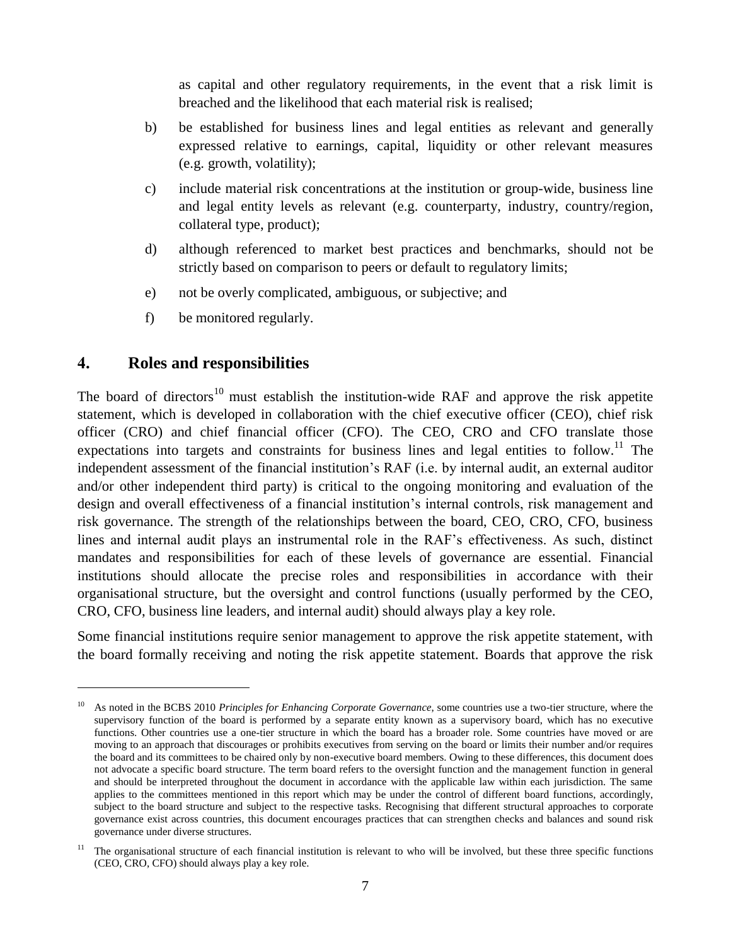as capital and other regulatory requirements, in the event that a risk limit is breached and the likelihood that each material risk is realised;

- b) be established for business lines and legal entities as relevant and generally expressed relative to earnings, capital, liquidity or other relevant measures (e.g. growth, volatility);
- c) include material risk concentrations at the institution or group-wide, business line and legal entity levels as relevant (e.g. counterparty, industry, country/region, collateral type, product);
- d) although referenced to market best practices and benchmarks, should not be strictly based on comparison to peers or default to regulatory limits;
- e) not be overly complicated, ambiguous, or subjective; and
- f) be monitored regularly.

## **4. Roles and responsibilities**

 $\overline{a}$ 

<span id="page-9-0"></span>The board of directors<sup>10</sup> must establish the institution-wide RAF and approve the risk appetite statement, which is developed in collaboration with the chief executive officer (CEO), chief risk officer (CRO) and chief financial officer (CFO). The CEO, CRO and CFO translate those expectations into targets and constraints for business lines and legal entities to follow.<sup>11</sup> The independent assessment of the financial institution's RAF (i.e. by internal audit, an external auditor and/or other independent third party) is critical to the ongoing monitoring and evaluation of the design and overall effectiveness of a financial institution's internal controls, risk management and risk governance. The strength of the relationships between the board, CEO, CRO, CFO, business lines and internal audit plays an instrumental role in the RAF's effectiveness. As such, distinct mandates and responsibilities for each of these levels of governance are essential. Financial institutions should allocate the precise roles and responsibilities in accordance with their organisational structure, but the oversight and control functions (usually performed by the CEO, CRO, CFO, business line leaders, and internal audit) should always play a key role.

Some financial institutions require senior management to approve the risk appetite statement, with the board formally receiving and noting the risk appetite statement. Boards that approve the risk

<sup>10</sup> As noted in the BCBS 2010 *Principles for Enhancing Corporate Governance*, some countries use a two-tier structure, where the supervisory function of the board is performed by a separate entity known as a supervisory board, which has no executive functions. Other countries use a one-tier structure in which the board has a broader role. Some countries have moved or are moving to an approach that discourages or prohibits executives from serving on the board or limits their number and/or requires the board and its committees to be chaired only by non-executive board members. Owing to these differences, this document does not advocate a specific board structure. The term board refers to the oversight function and the management function in general and should be interpreted throughout the document in accordance with the applicable law within each jurisdiction. The same applies to the committees mentioned in this report which may be under the control of different board functions, accordingly, subject to the board structure and subject to the respective tasks. Recognising that different structural approaches to corporate governance exist across countries, this document encourages practices that can strengthen checks and balances and sound risk governance under diverse structures.

 $11$  The organisational structure of each financial institution is relevant to who will be involved, but these three specific functions (CEO, CRO, CFO) should always play a key role.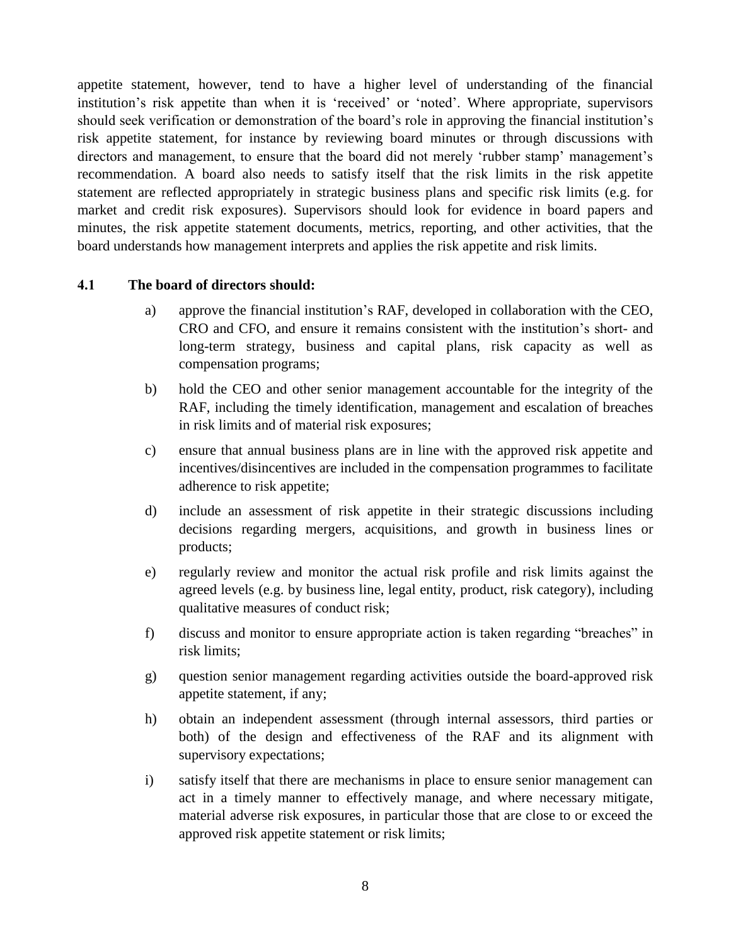appetite statement, however, tend to have a higher level of understanding of the financial institution's risk appetite than when it is 'received' or 'noted'. Where appropriate, supervisors should seek verification or demonstration of the board's role in approving the financial institution's risk appetite statement, for instance by reviewing board minutes or through discussions with directors and management, to ensure that the board did not merely 'rubber stamp' management's recommendation. A board also needs to satisfy itself that the risk limits in the risk appetite statement are reflected appropriately in strategic business plans and specific risk limits (e.g. for market and credit risk exposures). Supervisors should look for evidence in board papers and minutes, the risk appetite statement documents, metrics, reporting, and other activities, that the board understands how management interprets and applies the risk appetite and risk limits.

#### <span id="page-10-0"></span>**4.1 The board of directors should:**

- a) approve the financial institution's RAF, developed in collaboration with the CEO, CRO and CFO, and ensure it remains consistent with the institution's short- and long-term strategy, business and capital plans, risk capacity as well as compensation programs;
- b) hold the CEO and other senior management accountable for the integrity of the RAF, including the timely identification, management and escalation of breaches in risk limits and of material risk exposures;
- c) ensure that annual business plans are in line with the approved risk appetite and incentives/disincentives are included in the compensation programmes to facilitate adherence to risk appetite;
- d) include an assessment of risk appetite in their strategic discussions including decisions regarding mergers, acquisitions, and growth in business lines or products;
- e) regularly review and monitor the actual risk profile and risk limits against the agreed levels (e.g. by business line, legal entity, product, risk category), including qualitative measures of conduct risk;
- f) discuss and monitor to ensure appropriate action is taken regarding "breaches" in risk limits;
- g) question senior management regarding activities outside the board-approved risk appetite statement, if any;
- h) obtain an independent assessment (through internal assessors, third parties or both) of the design and effectiveness of the RAF and its alignment with supervisory expectations;
- i) satisfy itself that there are mechanisms in place to ensure senior management can act in a timely manner to effectively manage, and where necessary mitigate, material adverse risk exposures, in particular those that are close to or exceed the approved risk appetite statement or risk limits;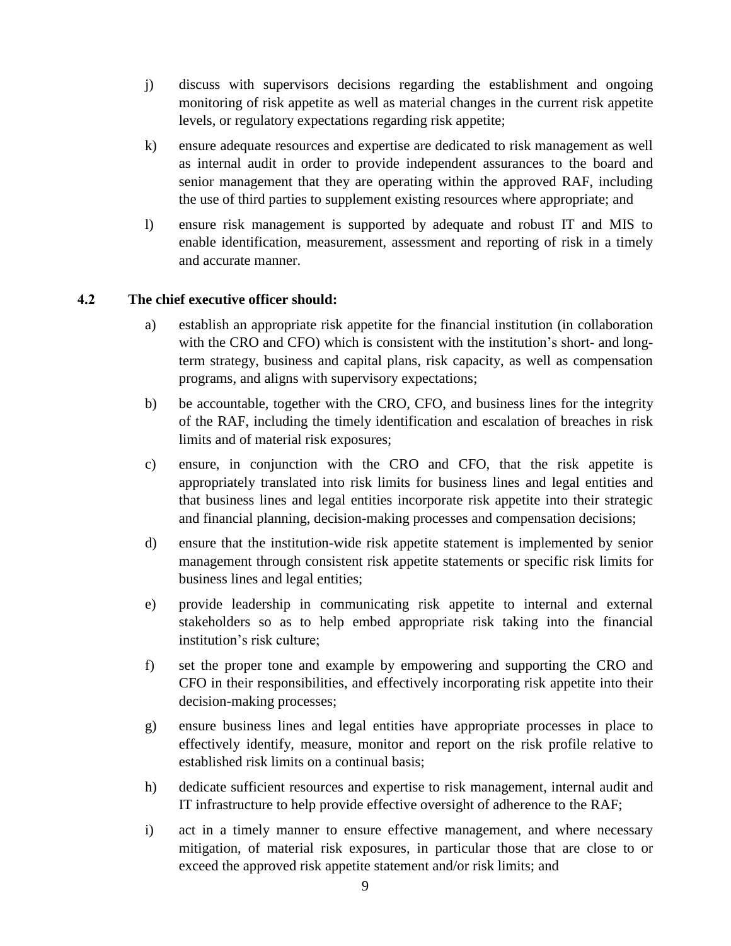- j) discuss with supervisors decisions regarding the establishment and ongoing monitoring of risk appetite as well as material changes in the current risk appetite levels, or regulatory expectations regarding risk appetite;
- k) ensure adequate resources and expertise are dedicated to risk management as well as internal audit in order to provide independent assurances to the board and senior management that they are operating within the approved RAF, including the use of third parties to supplement existing resources where appropriate; and
- l) ensure risk management is supported by adequate and robust IT and MIS to enable identification, measurement, assessment and reporting of risk in a timely and accurate manner.

#### <span id="page-11-0"></span>**4.2 The chief executive officer should:**

- a) establish an appropriate risk appetite for the financial institution (in collaboration with the CRO and CFO) which is consistent with the institution's short- and longterm strategy, business and capital plans, risk capacity, as well as compensation programs, and aligns with supervisory expectations;
- b) be accountable, together with the CRO, CFO, and business lines for the integrity of the RAF, including the timely identification and escalation of breaches in risk limits and of material risk exposures;
- c) ensure, in conjunction with the CRO and CFO, that the risk appetite is appropriately translated into risk limits for business lines and legal entities and that business lines and legal entities incorporate risk appetite into their strategic and financial planning, decision-making processes and compensation decisions;
- d) ensure that the institution-wide risk appetite statement is implemented by senior management through consistent risk appetite statements or specific risk limits for business lines and legal entities;
- e) provide leadership in communicating risk appetite to internal and external stakeholders so as to help embed appropriate risk taking into the financial institution's risk culture;
- f) set the proper tone and example by empowering and supporting the CRO and CFO in their responsibilities, and effectively incorporating risk appetite into their decision-making processes;
- g) ensure business lines and legal entities have appropriate processes in place to effectively identify, measure, monitor and report on the risk profile relative to established risk limits on a continual basis;
- h) dedicate sufficient resources and expertise to risk management, internal audit and IT infrastructure to help provide effective oversight of adherence to the RAF;
- i) act in a timely manner to ensure effective management, and where necessary mitigation, of material risk exposures, in particular those that are close to or exceed the approved risk appetite statement and/or risk limits; and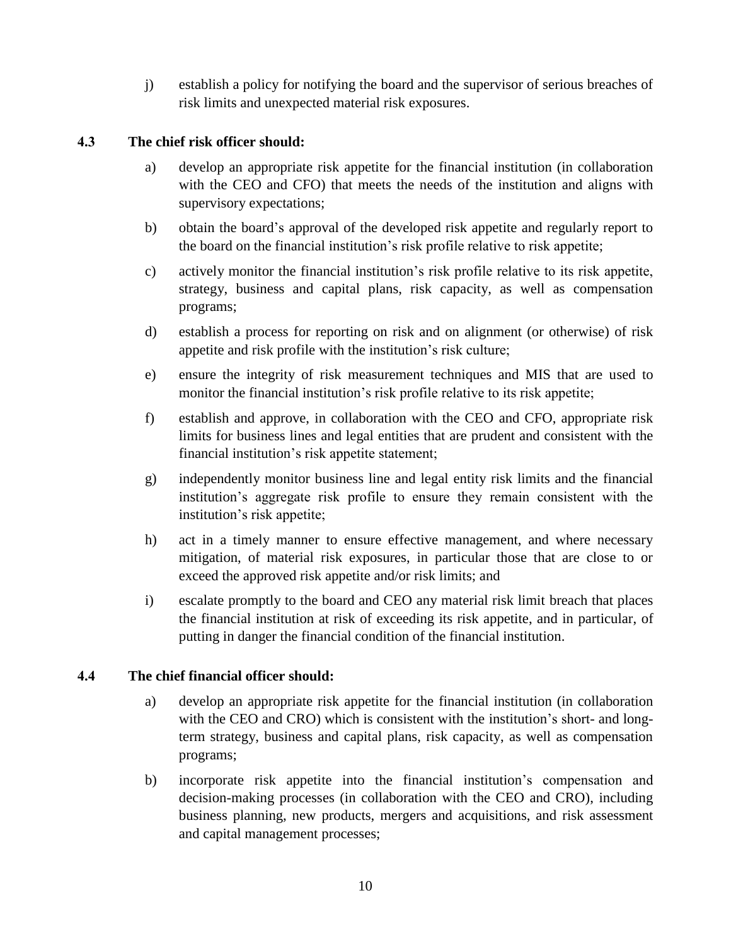j) establish a policy for notifying the board and the supervisor of serious breaches of risk limits and unexpected material risk exposures.

## <span id="page-12-0"></span>**4.3 The chief risk officer should:**

- a) develop an appropriate risk appetite for the financial institution (in collaboration with the CEO and CFO) that meets the needs of the institution and aligns with supervisory expectations;
- b) obtain the board's approval of the developed risk appetite and regularly report to the board on the financial institution's risk profile relative to risk appetite;
- c) actively monitor the financial institution's risk profile relative to its risk appetite, strategy, business and capital plans, risk capacity, as well as compensation programs;
- d) establish a process for reporting on risk and on alignment (or otherwise) of risk appetite and risk profile with the institution's risk culture;
- e) ensure the integrity of risk measurement techniques and MIS that are used to monitor the financial institution's risk profile relative to its risk appetite;
- f) establish and approve, in collaboration with the CEO and CFO, appropriate risk limits for business lines and legal entities that are prudent and consistent with the financial institution's risk appetite statement;
- g) independently monitor business line and legal entity risk limits and the financial institution's aggregate risk profile to ensure they remain consistent with the institution's risk appetite;
- h) act in a timely manner to ensure effective management, and where necessary mitigation, of material risk exposures, in particular those that are close to or exceed the approved risk appetite and/or risk limits; and
- i) escalate promptly to the board and CEO any material risk limit breach that places the financial institution at risk of exceeding its risk appetite, and in particular, of putting in danger the financial condition of the financial institution.

### <span id="page-12-1"></span>**4.4 The chief financial officer should:**

- a) develop an appropriate risk appetite for the financial institution (in collaboration with the CEO and CRO) which is consistent with the institution's short- and longterm strategy, business and capital plans, risk capacity, as well as compensation programs;
- b) incorporate risk appetite into the financial institution's compensation and decision-making processes (in collaboration with the CEO and CRO), including business planning, new products, mergers and acquisitions, and risk assessment and capital management processes;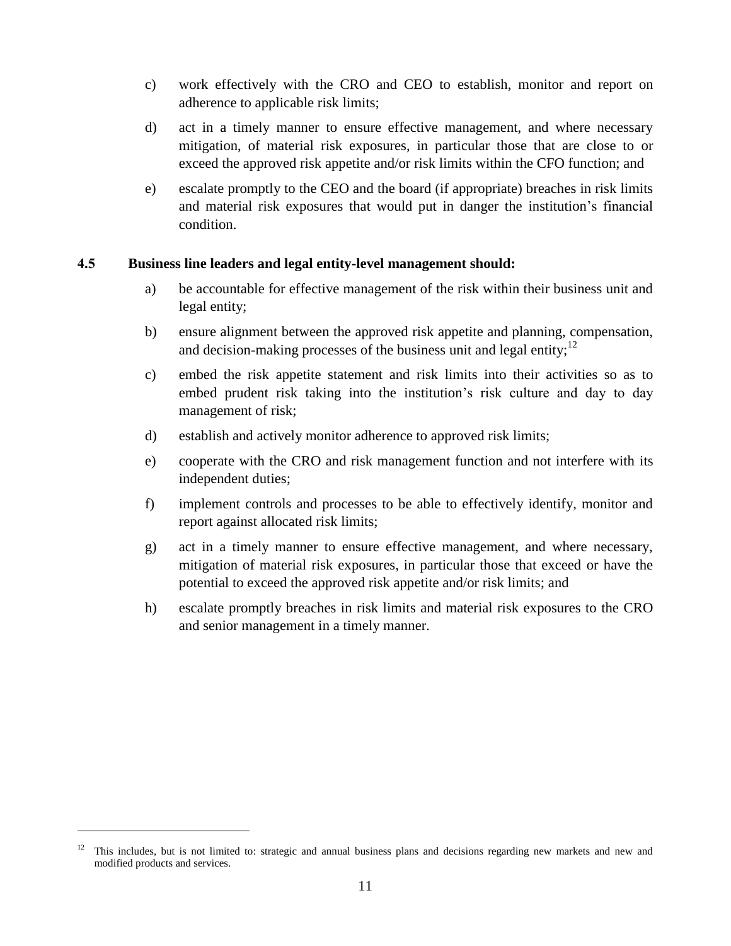- c) work effectively with the CRO and CEO to establish, monitor and report on adherence to applicable risk limits;
- d) act in a timely manner to ensure effective management, and where necessary mitigation, of material risk exposures, in particular those that are close to or exceed the approved risk appetite and/or risk limits within the CFO function; and
- e) escalate promptly to the CEO and the board (if appropriate) breaches in risk limits and material risk exposures that would put in danger the institution's financial condition.

#### <span id="page-13-0"></span>**4.5 Business line leaders and legal entity-level management should:**

- a) be accountable for effective management of the risk within their business unit and legal entity;
- b) ensure alignment between the approved risk appetite and planning, compensation, and decision-making processes of the business unit and legal entity;<sup>12</sup>
- c) embed the risk appetite statement and risk limits into their activities so as to embed prudent risk taking into the institution's risk culture and day to day management of risk;
- d) establish and actively monitor adherence to approved risk limits;
- e) cooperate with the CRO and risk management function and not interfere with its independent duties;
- f) implement controls and processes to be able to effectively identify, monitor and report against allocated risk limits;
- g) act in a timely manner to ensure effective management, and where necessary, mitigation of material risk exposures, in particular those that exceed or have the potential to exceed the approved risk appetite and/or risk limits; and
- h) escalate promptly breaches in risk limits and material risk exposures to the CRO and senior management in a timely manner.

<sup>&</sup>lt;sup>12</sup> This includes, but is not limited to: strategic and annual business plans and decisions regarding new markets and new and modified products and services.